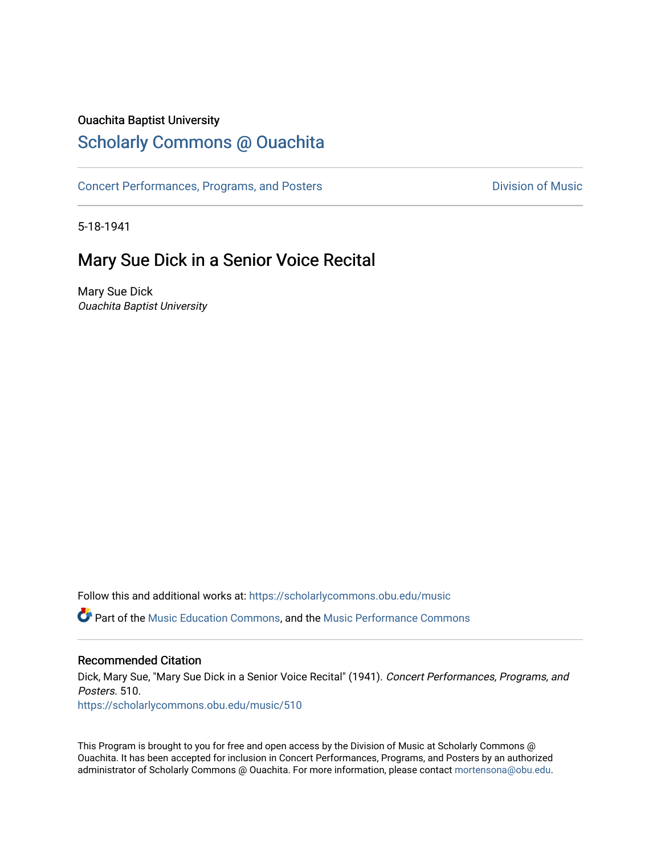### Ouachita Baptist University

## [Scholarly Commons @ Ouachita](https://scholarlycommons.obu.edu/)

[Concert Performances, Programs, and Posters](https://scholarlycommons.obu.edu/music) **Division of Music** Division of Music

5-18-1941

### Mary Sue Dick in a Senior Voice Recital

Mary Sue Dick Ouachita Baptist University

Follow this and additional works at: [https://scholarlycommons.obu.edu/music](https://scholarlycommons.obu.edu/music?utm_source=scholarlycommons.obu.edu%2Fmusic%2F510&utm_medium=PDF&utm_campaign=PDFCoverPages) 

Part of the [Music Education Commons,](http://network.bepress.com/hgg/discipline/1246?utm_source=scholarlycommons.obu.edu%2Fmusic%2F510&utm_medium=PDF&utm_campaign=PDFCoverPages) and the [Music Performance Commons](http://network.bepress.com/hgg/discipline/1128?utm_source=scholarlycommons.obu.edu%2Fmusic%2F510&utm_medium=PDF&utm_campaign=PDFCoverPages) 

#### Recommended Citation

Dick, Mary Sue, "Mary Sue Dick in a Senior Voice Recital" (1941). Concert Performances, Programs, and Posters. 510.

[https://scholarlycommons.obu.edu/music/510](https://scholarlycommons.obu.edu/music/510?utm_source=scholarlycommons.obu.edu%2Fmusic%2F510&utm_medium=PDF&utm_campaign=PDFCoverPages) 

This Program is brought to you for free and open access by the Division of Music at Scholarly Commons @ Ouachita. It has been accepted for inclusion in Concert Performances, Programs, and Posters by an authorized administrator of Scholarly Commons @ Ouachita. For more information, please contact [mortensona@obu.edu](mailto:mortensona@obu.edu).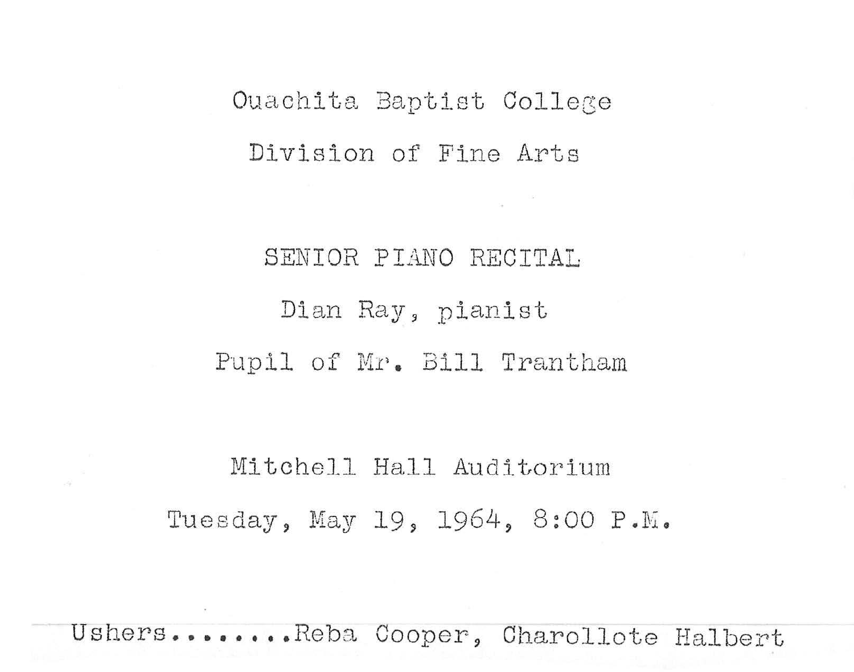## Ouachita Baptist College Division of Fine Arts

# SENIOR PIANO RECITAL Dian Ray, pianist Pupil of Mr. Bill Trantham

Mitchell Hall Auditorium Tuesday, May 19, 1964, 8:00 P.M.

Ushers •••••..• Reba Cooper, Charollote Halbert